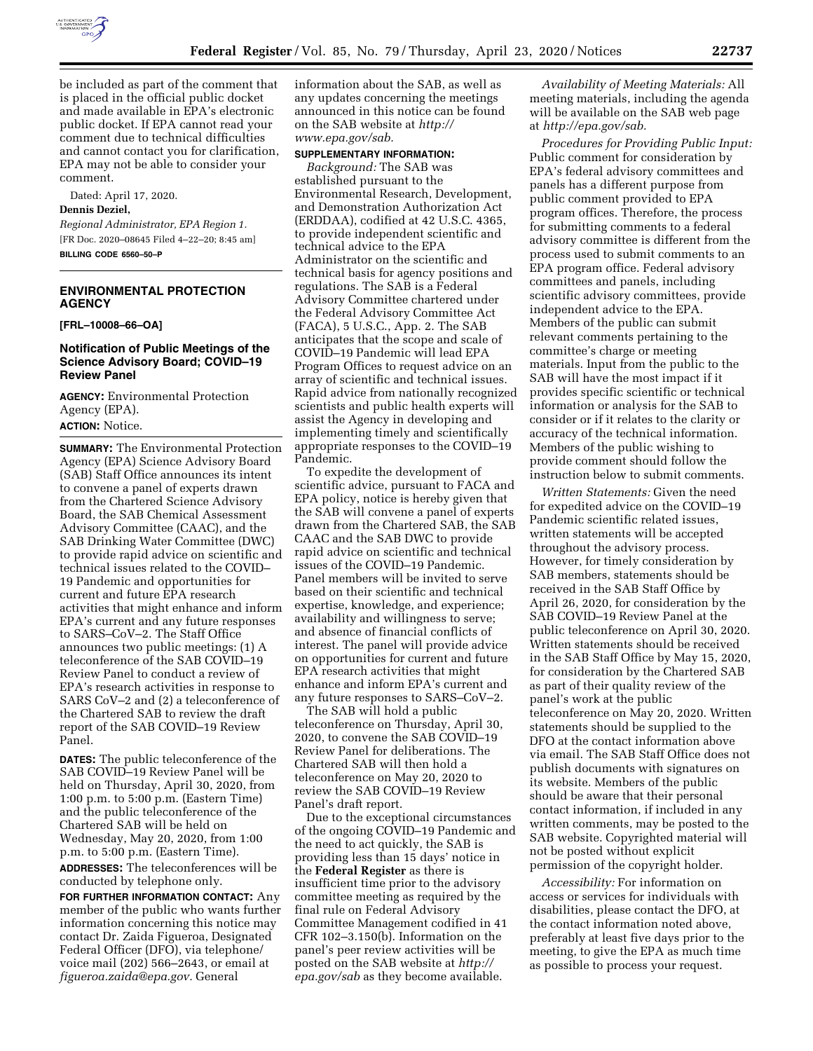

be included as part of the comment that is placed in the official public docket and made available in EPA's electronic public docket. If EPA cannot read your comment due to technical difficulties and cannot contact you for clarification, EPA may not be able to consider your comment.

Dated: April 17, 2020.

### **Dennis Deziel,**

*Regional Administrator, EPA Region 1.*  [FR Doc. 2020–08645 Filed 4–22–20; 8:45 am]

**BILLING CODE 6560–50–P** 

# **ENVIRONMENTAL PROTECTION AGENCY**

**[FRL–10008–66–OA]** 

# **Notification of Public Meetings of the Science Advisory Board; COVID–19 Review Panel**

**AGENCY:** Environmental Protection Agency (EPA). **ACTION:** Notice.

**SUMMARY:** The Environmental Protection Agency (EPA) Science Advisory Board (SAB) Staff Office announces its intent to convene a panel of experts drawn from the Chartered Science Advisory Board, the SAB Chemical Assessment Advisory Committee (CAAC), and the SAB Drinking Water Committee (DWC) to provide rapid advice on scientific and technical issues related to the COVID– 19 Pandemic and opportunities for current and future EPA research activities that might enhance and inform EPA's current and any future responses to SARS–CoV–2. The Staff Office announces two public meetings: (1) A teleconference of the SAB COVID–19 Review Panel to conduct a review of EPA's research activities in response to SARS CoV–2 and (2) a teleconference of the Chartered SAB to review the draft report of the SAB COVID–19 Review Panel.

**DATES:** The public teleconference of the SAB COVID–19 Review Panel will be held on Thursday, April 30, 2020, from 1:00 p.m. to 5:00 p.m. (Eastern Time) and the public teleconference of the Chartered SAB will be held on Wednesday, May 20, 2020, from 1:00 p.m. to 5:00 p.m. (Eastern Time).

**ADDRESSES:** The teleconferences will be conducted by telephone only.

**FOR FURTHER INFORMATION CONTACT:** Any member of the public who wants further information concerning this notice may contact Dr. Zaida Figueroa, Designated Federal Officer (DFO), via telephone/ voice mail (202) 566–2643, or email at *[figueroa.zaida@epa.gov.](mailto:figueroa.zaida@epa.gov)* General

information about the SAB, as well as any updates concerning the meetings announced in this notice can be found on the SAB website at *[http://](http://www.epa.gov/sab) [www.epa.gov/sab.](http://www.epa.gov/sab)* 

#### **SUPPLEMENTARY INFORMATION:**

*Background:* The SAB was established pursuant to the Environmental Research, Development, and Demonstration Authorization Act (ERDDAA), codified at 42 U.S.C. 4365, to provide independent scientific and technical advice to the EPA Administrator on the scientific and technical basis for agency positions and regulations. The SAB is a Federal Advisory Committee chartered under the Federal Advisory Committee Act (FACA), 5 U.S.C., App. 2. The SAB anticipates that the scope and scale of COVID–19 Pandemic will lead EPA Program Offices to request advice on an array of scientific and technical issues. Rapid advice from nationally recognized scientists and public health experts will assist the Agency in developing and implementing timely and scientifically appropriate responses to the COVID–19 Pandemic.

To expedite the development of scientific advice, pursuant to FACA and EPA policy, notice is hereby given that the SAB will convene a panel of experts drawn from the Chartered SAB, the SAB CAAC and the SAB DWC to provide rapid advice on scientific and technical issues of the COVID–19 Pandemic. Panel members will be invited to serve based on their scientific and technical expertise, knowledge, and experience; availability and willingness to serve; and absence of financial conflicts of interest. The panel will provide advice on opportunities for current and future EPA research activities that might enhance and inform EPA's current and any future responses to SARS–CoV–2.

The SAB will hold a public teleconference on Thursday, April 30, 2020, to convene the SAB COVID–19 Review Panel for deliberations. The Chartered SAB will then hold a teleconference on May 20, 2020 to review the SAB COVID–19 Review Panel's draft report.

Due to the exceptional circumstances of the ongoing COVID–19 Pandemic and the need to act quickly, the SAB is providing less than 15 days' notice in the **Federal Register** as there is insufficient time prior to the advisory committee meeting as required by the final rule on Federal Advisory Committee Management codified in 41 CFR 102–3.150(b). Information on the panel's peer review activities will be posted on the SAB website at *[http://](http://epa.gov/sab) [epa.gov/sab](http://epa.gov/sab)* as they become available.

*Availability of Meeting Materials:* All meeting materials, including the agenda will be available on the SAB web page at *[http://epa.gov/sab.](http://epa.gov/sab)* 

*Procedures for Providing Public Input:*  Public comment for consideration by EPA's federal advisory committees and panels has a different purpose from public comment provided to EPA program offices. Therefore, the process for submitting comments to a federal advisory committee is different from the process used to submit comments to an EPA program office. Federal advisory committees and panels, including scientific advisory committees, provide independent advice to the EPA. Members of the public can submit relevant comments pertaining to the committee's charge or meeting materials. Input from the public to the SAB will have the most impact if it provides specific scientific or technical information or analysis for the SAB to consider or if it relates to the clarity or accuracy of the technical information. Members of the public wishing to provide comment should follow the instruction below to submit comments.

*Written Statements:* Given the need for expedited advice on the COVID–19 Pandemic scientific related issues, written statements will be accepted throughout the advisory process. However, for timely consideration by SAB members, statements should be received in the SAB Staff Office by April 26, 2020, for consideration by the SAB COVID–19 Review Panel at the public teleconference on April 30, 2020. Written statements should be received in the SAB Staff Office by May 15, 2020, for consideration by the Chartered SAB as part of their quality review of the panel's work at the public teleconference on May 20, 2020. Written statements should be supplied to the DFO at the contact information above via email. The SAB Staff Office does not publish documents with signatures on its website. Members of the public should be aware that their personal contact information, if included in any written comments, may be posted to the SAB website. Copyrighted material will not be posted without explicit permission of the copyright holder.

*Accessibility:* For information on access or services for individuals with disabilities, please contact the DFO, at the contact information noted above, preferably at least five days prior to the meeting, to give the EPA as much time as possible to process your request.